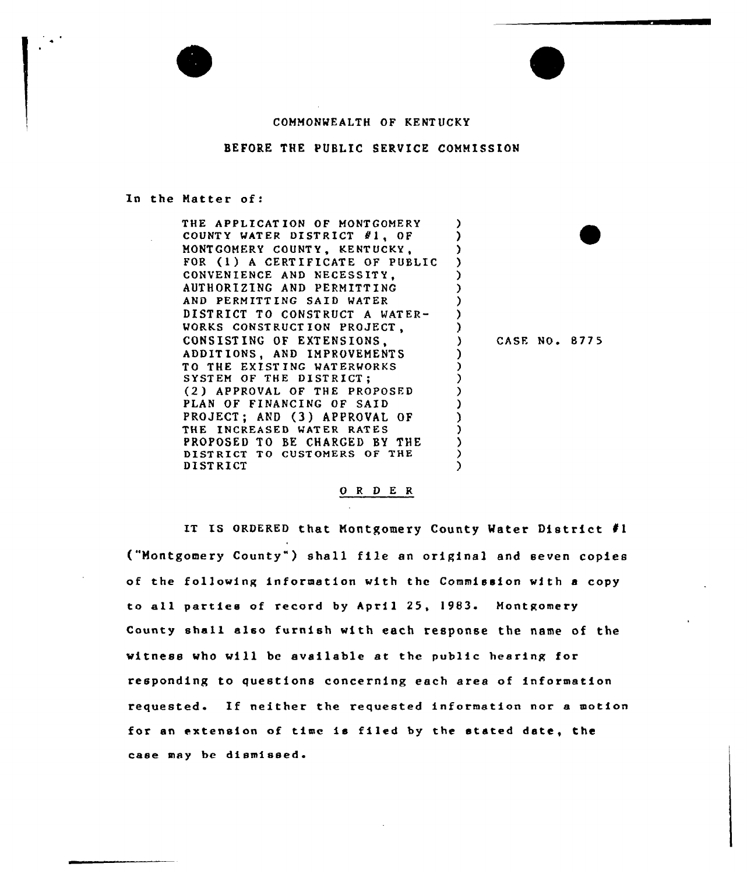## COMMONWEALTH OF KENTUCKY

## BEFORE THE PUBLIC SERVICE COMMISSION

#### In the Matter of:

THE APPLICAT ION OF MONTGOMERY COUNTY WATER DISTRICT  $#1$ , OF MONTGOMERY COUNT Y, KENT UCKY, э FOR (1) <sup>A</sup> CERTIFICATE OF PUBLIC ) ) CONVENIENCE AND NECESSITY. AUTHORIZING AND PERMITTING ) AND PERMITTING SAID MATER ) DISTRICT TO CONSTRUCT <sup>A</sup> WATER-) WORKS CONSTRUCTION PROJECT, ) CONSISTING OF EXTENSIONS, ADDITIONS, AND IMPROVEMENTS ) TO THE EXIST ING WATERMORKS ) SYSTEM OF THE DISTRICT; ) (2 ) APPROVAL OF THE PROPOSFD ) PLAN OF FINANCING OF SAID ) PROJECT; AND (3) APPROVAL OF ) THE INCREASED MATER RATES ) PROPOSED TO BE CHARGED BY THE DISTRICT TO CUSTOMERS OF THE ) ) DI STRICT

CASE NO. 8775

 $\bullet$ 

# 0 <sup>R</sup> <sup>D</sup> E R

IT Is oRDERED that Montgomery County Mater District fl ("Montgomery County" ) shall file an original and seven copies of the following information with the Commission with a copy to all parties of record by April 25, l983. Montgomery County shall also furnish with each response the name of the witness who will be available at the public hearing for responding to questions concerning each area of information requested. If neither the requested information nor <sup>a</sup> motion for an extension of time is filed by the stated date, the case may be diamiaaed.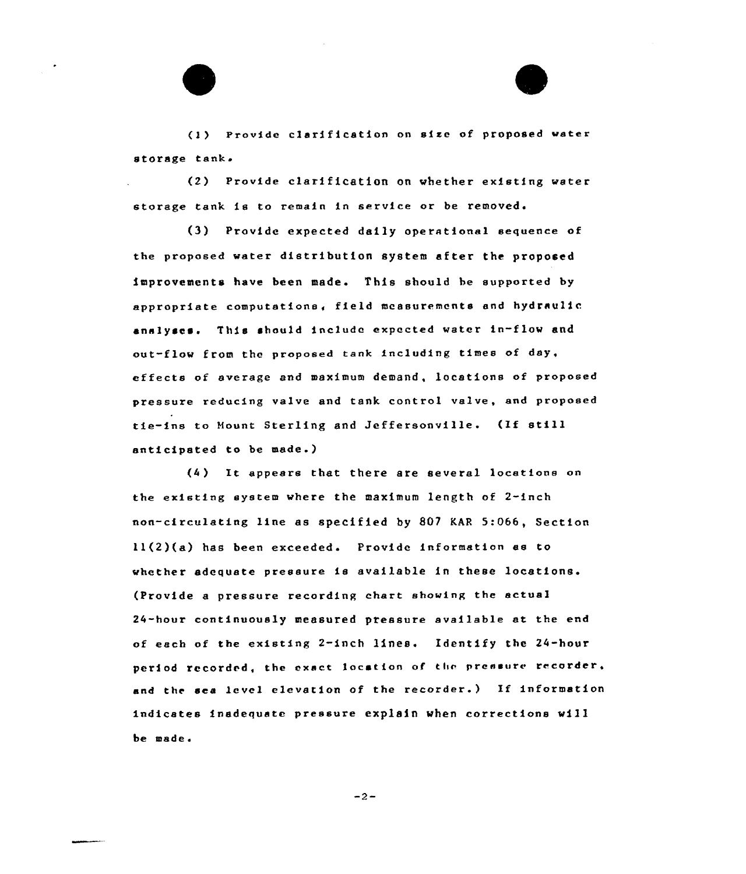(I } Provide clarification on sise of proposed water storage tank.

(2) Provide clarification on whether existing water storage tank is to remain in service or be removed.

Provide expected daily operational sequence of the proposed water distribution system after the proposed improvements have been made. This should be supported by appropriate computations, field measurements and hydraulic analyses. This should include expected water in-flow and out-flow from the proposed tank including times of day, effects of average and maximum demand, locations of proposed pressure reducing valve and tank control valve, and proposed tie-ins to Hount Sterling and Jeffersonville. (If still anticipated to be made.)

(4 ) It appears that there are several locations on the existing system where the maximum length of 2-inch non-circulating line as specified by 807 KAR 5:066, Section ll(2)(a) has been exceeded. Provide information as to whether adequate pressure is available in these locations. (Provide a pressure recording chart showing the actual 24-hour continuously measured pressure available at the end of each of the existing 2-inch lines. Identify the 24-hour period recorded, the exact location of the pressure recorder, and the sea level elevation of the recorder.) If information indicates inadequate pressure explain when corrections will be made.

 $-2-$